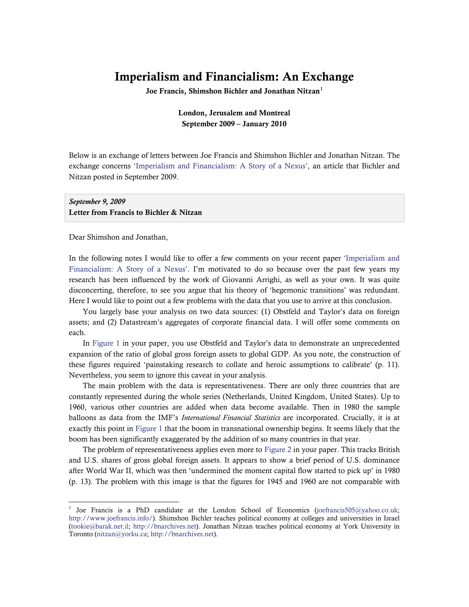# Imperialism and Financialism: An Exchange

Joe Francis, Shimshon Bichler and Jonathan Nitzan<sup>[1](#page-0-0)</sup>

# London, Jerusalem and Montreal September 2009 – January 2010

Below is an exchange of letters between Joe Francis and Shimshon Bichler and Jonathan Nitzan. The exchange concerns ['Imperialism and Financialism: A Story of a Nexus',](http://bnarchives.yorku.ca/267/) an article that Bichler and Nitzan posted in September 2009.

*September 9, 2009*  Letter from Francis to Bichler & Nitzan

Dear Shimshon and Jonathan,

In the following notes I would like to offer a few comments on your recent paper ['Imperialism and](http://bnarchives.yorku.ca/267/)  [Financialism: A Story of a Nexus'.](http://bnarchives.yorku.ca/267/) I'm motivated to do so because over the past few years my research has been influenced by the work of Giovanni Arrighi, as well as your own. It was quite disconcerting, therefore, to see you argue that his theory of 'hegemonic transitions' was redundant. Here I would like to point out a few problems with the data that you use to arrive at this conclusion.

You largely base your analysis on two data sources: (1) Obstfeld and Taylor's data on foreign assets; and (2) Datastream's aggregates of corporate financial data. I will offer some comments on each.

In [Figure 1](http://bnarchives.yorku.ca/267/03/if_fig1_ratio_of_global_foreign_assets_to_global_gdp.jpg) in your paper, you use Obstfeld and Taylor's data to demonstrate an unprecedented expansion of the ratio of global gross foreign assets to global GDP. As you note, the construction of these figures required 'painstaking research to collate and heroic assumptions to calibrate' (p. 11). Nevertheless, you seem to ignore this caveat in your analysis.

The main problem with the data is representativeness. There are only three countries that are constantly represented during the whole series (Netherlands, United Kingdom, United States). Up to 1960, various other countries are added when data become available. Then in 1980 the sample balloons as data from the IMF's *International Financial Statistics* are incorporated. Crucially, it is at exactly this point in [Figure 1](http://bnarchives.yorku.ca/267/03/if_fig1_ratio_of_global_foreign_assets_to_global_gdp.jpg) that the boom in transnational ownership begins. It seems likely that the boom has been significantly exaggerated by the addition of so many countries in that year.

The problem of representativeness applies even more to [Figure 2](http://bnarchives.yorku.ca/267/04/if_fig2_share_of_global_foreign_assets.jpg) in your paper. This tracks British and U.S. shares of gross global foreign assets. It appears to show a brief period of U.S. dominance after World War II, which was then 'undermined the moment capital flow started to pick up' in 1980 (p. 13). The problem with this image is that the figures for 1945 and 1960 are not comparable with

<span id="page-0-0"></span><sup>&</sup>lt;sup>1</sup> Joe Francis is a PhD candidate at the London School of Economics ([joefrancis505@yahoo.co.uk](mailto:joefrancis505@yahoo.co.uk); <http://www.joefrancis.info/>). Shimshon Bichler teaches political economy at colleges and universities in Israel ([tookie@barak.net.il;](mailto:tookie@barak.net.il) [http://bnarchives.net](http://bnarchives.net/)). Jonathan Nitzan teaches political economy at York University in Toronto ([nitzan@yorku.ca;](mailto:nitzan@yorku.ca) [http://bnarchives.net](http://bnarchives.net/)).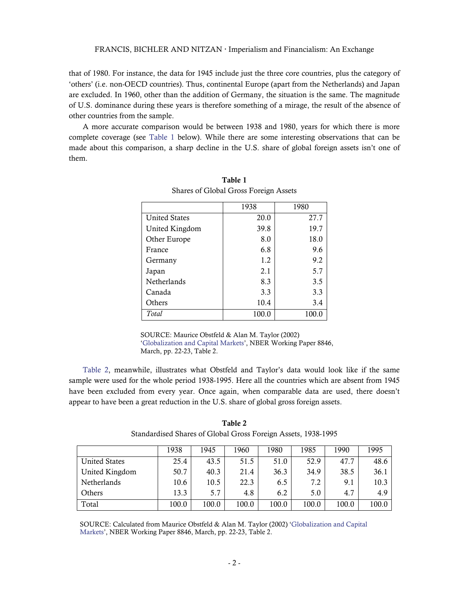that of 1980. For instance, the data for 1945 include just the three core countries, plus the category of 'others' (i.e. non-OECD countries). Thus, continental Europe (apart from the Netherlands) and Japan are excluded. In 1960, other than the addition of Germany, the situation is the same. The magnitude of U.S. dominance during these years is therefore something of a mirage, the result of the absence of other countries from the sample.

<span id="page-1-0"></span>A more accurate comparison would be between 1938 and 1980, years for which there is more complete coverage (see [Table 1](#page-1-0) below). While there are some interesting observations that can be made about this comparison, a sharp decline in the U.S. share of global foreign assets isn't one of them.

|                      | 1938  | 1980  |
|----------------------|-------|-------|
| <b>United States</b> | 20.0  | 27.7  |
| United Kingdom       | 39.8  | 19.7  |
| Other Europe         | 8.0   | 18.0  |
| France               | 6.8   | 9.6   |
| Germany              | 1.2   | 9.2   |
| Japan                | 2.1   | 5.7   |
| Netherlands          | 8.3   | 3.5   |
| Canada               | 3.3   | 3.3   |
| Others               | 10.4  | 3.4   |
| Total                | 100.0 | 100.0 |

Table 1 Shares of Global Gross Foreign Assets

SOURCE: Maurice Obstfeld & Alan M. Taylor (2002) ['Globalization and Capital Markets'](http://www.nber.org/papers/w8846), NBER Working Paper 8846, March, pp. 22-23, Table 2.

[Table 2,](#page-1-1) meanwhile, illustrates what Obstfeld and Taylor's data would look like if the same sample were used for the whole period 1938-1995. Here all the countries which are absent from 1945 have been excluded from every year. Once again, when comparable data are used, there doesn't appear to have been a great reduction in the U.S. share of global gross foreign assets.

<span id="page-1-1"></span>

|                      | 1938  | 1945  | 1960  | 1980  | 1985  | 1990  | 1995  |
|----------------------|-------|-------|-------|-------|-------|-------|-------|
| <b>United States</b> | 25.4  | 43.5  | 51.5  | 51.0  | 52.9  | 47.7  | 48.6  |
| United Kingdom       | 50.7  | 40.3  | 21.4  | 36.3  | 34.9  | 38.5  | 36.1  |
| Netherlands          | 10.6  | 10.5  | 22.3  | 6.5   | 7.2   | 9.1   | 10.3  |
| Others               | 13.3  | 5.7   | 4.8   | 6.2   | 5.0   | 4.7   | 4.9   |
| Total                | 100.0 | 100.0 | 100.0 | 100.0 | 100.0 | 100.0 | 100.0 |

Table 2 Standardised Shares of Global Gross Foreign Assets, 1938-1995

SOURCE: Calculated from Maurice Obstfeld & Alan M. Taylor (2002) '[Globalization and Capital](http://www.nber.org/papers/w8846)  [Markets'](http://www.nber.org/papers/w8846), NBER Working Paper 8846, March, pp. 22-23, Table 2.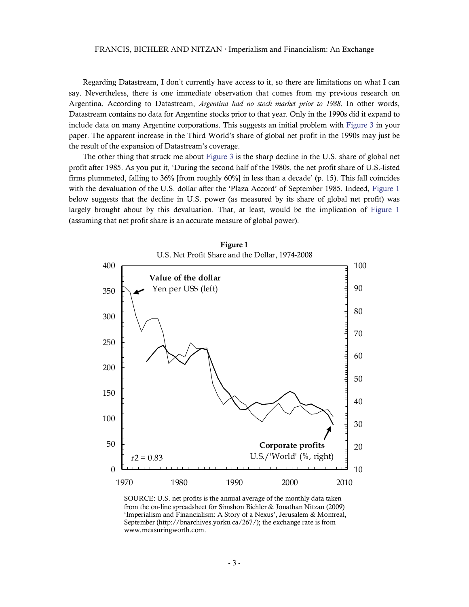Regarding Datastream, I don't currently have access to it, so there are limitations on what I can say. Nevertheless, there is one immediate observation that comes from my previous research on Argentina. According to Datastream, *Argentina had no stock market prior to 1988*. In other words, Datastream contains no data for Argentine stocks prior to that year. Only in the 1990s did it expand to include data on many Argentine corporations. This suggests an initial problem with [Figure 3](http://bnarchives.yorku.ca/267/05/if_fig3_global_net_profit_share_by_region.jpg) in your paper. The apparent increase in the Third World's share of global net profit in the 1990s may just be the result of the expansion of Datastream's coverage.

<span id="page-2-0"></span>The other thing that struck me about [Figure 3](http://bnarchives.yorku.ca/267/05/if_fig3_global_net_profit_share_by_region.jpg) is the sharp decline in the U.S. share of global net profit after 1985. As you put it, 'During the second half of the 1980s, the net profit share of U.S.-listed firms plummeted, falling to 36% [from roughly 60%] in less than a decade' (p. 15). This fall coincides with the devaluation of the U.S. dollar after the 'Plaza Accord' of September 1985. Indeed, [Figure 1](#page-2-0) below suggests that the decline in U.S. power (as measured by its share of global net profit) was largely brought about by this devaluation. That, at least, would be the implication of [Figure 1](#page-2-0) (assuming that net profit share is an accurate measure of global power).





SOURCE: U.S. net profits is the annual average of the monthly data taken from the on-line spreadsheet for Simshon Bichler & Jonathan Nitzan (2009) 'Imperialism and Financialism: A Story of a Nexus', Jerusalem & Montreal, September (http://bnarchives.yorku.ca/267/); the exchange rate is from www.measuringworth.com.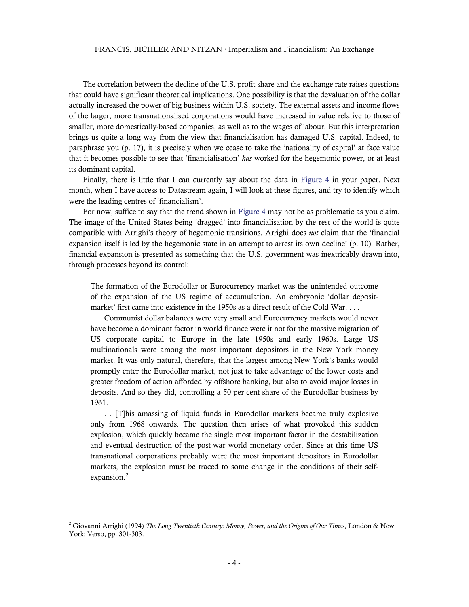The correlation between the decline of the U.S. profit share and the exchange rate raises questions that could have significant theoretical implications. One possibility is that the devaluation of the dollar actually increased the power of big business within U.S. society. The external assets and income flows of the larger, more transnationalised corporations would have increased in value relative to those of smaller, more domestically-based companies, as well as to the wages of labour. But this interpretation brings us quite a long way from the view that financialisation has damaged U.S. capital. Indeed, to paraphrase you (p. 17), it is precisely when we cease to take the 'nationality of capital' at face value that it becomes possible to see that 'financialisation' *has* worked for the hegemonic power, or at least its dominant capital.

Finally, there is little that I can currently say about the data in [Figure 4](http://bnarchives.yorku.ca/267/06/if_fig4_fire_corporations_share_of_total_net_profit.jpg) in your paper. Next month, when I have access to Datastream again, I will look at these figures, and try to identify which were the leading centres of 'financialism'.

For now, suffice to say that the trend shown in [Figure 4](http://bnarchives.yorku.ca/267/06/if_fig4_fire_corporations_share_of_total_net_profit.jpg) may not be as problematic as you claim. The image of the United States being 'dragged' into financialisation by the rest of the world is quite compatible with Arrighi's theory of hegemonic transitions. Arrighi does *not* claim that the 'financial expansion itself is led by the hegemonic state in an attempt to arrest its own decline' (p. 10). Rather, financial expansion is presented as something that the U.S. government was inextricably drawn into, through processes beyond its control:

The formation of the Eurodollar or Eurocurrency market was the unintended outcome of the expansion of the US regime of accumulation. An embryonic 'dollar depositmarket' first came into existence in the 1950s as a direct result of the Cold War. . . .

Communist dollar balances were very small and Eurocurrency markets would never have become a dominant factor in world finance were it not for the massive migration of US corporate capital to Europe in the late 1950s and early 1960s. Large US multinationals were among the most important depositors in the New York money market. It was only natural, therefore, that the largest among New York's banks would promptly enter the Eurodollar market, not just to take advantage of the lower costs and greater freedom of action afforded by offshore banking, but also to avoid major losses in deposits. And so they did, controlling a 50 per cent share of the Eurodollar business by 1961.

… [T]his amassing of liquid funds in Eurodollar markets became truly explosive only from 1968 onwards. The question then arises of what provoked this sudden explosion, which quickly became the single most important factor in the destabilization and eventual destruction of the post-war world monetary order. Since at this time US transnational corporations probably were the most important depositors in Eurodollar markets, the explosion must be traced to some change in the conditions of their self-expansion.<sup>[2](#page-3-0)</sup>

<span id="page-3-0"></span><sup>2</sup> Giovanni Arrighi (1994) *The Long Twentieth Century: Money, Power, and the Origins of Our Times*, London & New York: Verso, pp. 301-303.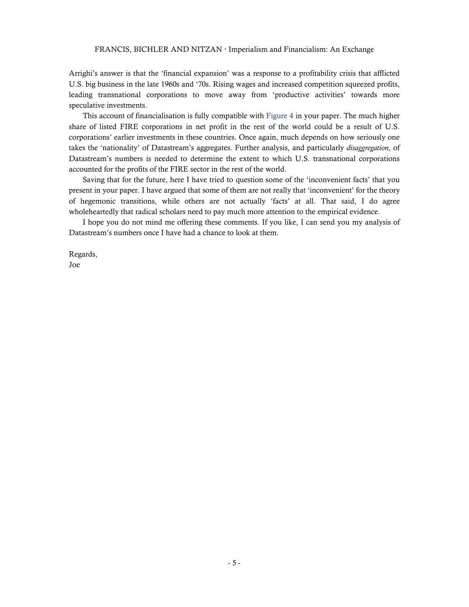Arrighi's answer is that the 'financial expansion' was a response to a profitability crisis that afflicted U.S. big business in the late 1960s and '70s. Rising wages and increased competition squeezed profits, leading transnational corporations to move away from 'productive activities' towards more speculative investments.

This account of financialisation is fully compatible with [Figure 4](http://bnarchives.yorku.ca/267/06/if_fig4_fire_corporations_share_of_total_net_profit.jpg) in your paper. The much higher share of listed FIRE corporations in net profit in the rest of the world could be a result of U.S. corporations' earlier investments in these countries. Once again, much depends on how seriously one takes the 'nationality' of Datastream's aggregates. Further analysis, and particularly *disaggregation*, of Datastream's numbers is needed to determine the extent to which U.S. transnational corporations accounted for the profits of the FIRE sector in the rest of the world.

Saving that for the future, here I have tried to question some of the 'inconvenient facts' that you present in your paper. I have argued that some of them are not really that 'inconvenient' for the theory of hegemonic transitions, while others are not actually 'facts' at all. That said, I do agree wholeheartedly that radical scholars need to pay much more attention to the empirical evidence.

I hope you do not mind me offering these comments. If you like, I can send you my analysis of Datastream's numbers once I have had a chance to look at them.

Regards, Joe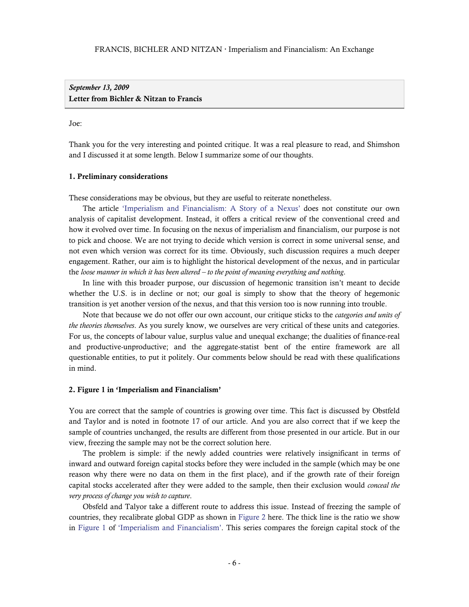*September 13, 2009*  Letter from Bichler & Nitzan to Francis

#### Joe:

Thank you for the very interesting and pointed critique. It was a real pleasure to read, and Shimshon and I discussed it at some length. Below I summarize some of our thoughts.

#### 1. Preliminary considerations

These considerations may be obvious, but they are useful to reiterate nonetheless.

The article ['Imperialism and Financialism: A Story of a Nexus'](http://bnarchives.yorku.ca/267/) does not constitute our own analysis of capitalist development. Instead, it offers a critical review of the conventional creed and how it evolved over time. In focusing on the nexus of imperialism and financialism, our purpose is not to pick and choose. We are not trying to decide which version is correct in some universal sense, and not even which version was correct for its time. Obviously, such discussion requires a much deeper engagement. Rather, our aim is to highlight the historical development of the nexus, and in particular the *loose manner in which it has been altered – to the point of meaning everything and nothing*.

In line with this broader purpose, our discussion of hegemonic transition isn't meant to decide whether the U.S. is in decline or not; our goal is simply to show that the theory of hegemonic transition is yet another version of the nexus, and that this version too is now running into trouble.

Note that because we do not offer our own account, our critique sticks to the *categories and units of the theories themselves*. As you surely know, we ourselves are very critical of these units and categories. For us, the concepts of labour value, surplus value and unequal exchange; the dualities of finance-real and productive-unproductive; and the aggregate-statist bent of the entire framework are all questionable entities, to put it politely. Our comments below should be read with these qualifications in mind.

#### 2. Figure 1 in 'Imperialism and Financialism'

You are correct that the sample of countries is growing over time. This fact is discussed by Obstfeld and Taylor and is noted in footnote 17 of our article. And you are also correct that if we keep the sample of countries unchanged, the results are different from those presented in our article. But in our view, freezing the sample may not be the correct solution here.

The problem is simple: if the newly added countries were relatively insignificant in terms of inward and outward foreign capital stocks before they were included in the sample (which may be one reason why there were no data on them in the first place), and if the growth rate of their foreign capital stocks accelerated after they were added to the sample, then their exclusion would *conceal the very process of change you wish to capture*.

Obsfeld and Talyor take a different route to address this issue. Instead of freezing the sample of countries, they recalibrate global GDP as shown in [Figure 2](#page-6-0) here. The thick line is the ratio we show in [Figure 1](http://bnarchives.yorku.ca/267/03/if_fig1_ratio_of_global_foreign_assets_to_global_gdp.jpg) of ['Imperialism and Financialism'](http://bnarchives.yorku.ca/267/). This series compares the foreign capital stock of the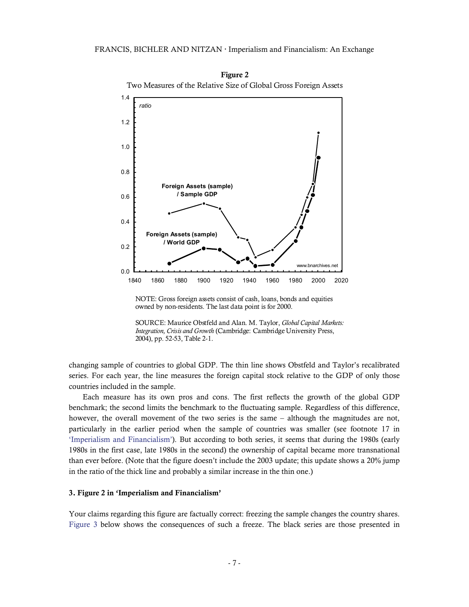

Figure 2 Two Measures of the Relative Size of Global Gross Foreign Assets

changing sample of countries to global GDP. The thin line shows Obstfeld and Taylor's recalibrated series. For each year, the line measures the foreign capital stock relative to the GDP of only those countries included in the sample.

<span id="page-6-0"></span>Each measure has its own pros and cons. The first reflects the growth of the global GDP benchmark; the second limits the benchmark to the fluctuating sample. Regardless of this difference, however, the overall movement of the two series is the same – although the magnitudes are not, particularly in the earlier period when the sample of countries was smaller (see footnote 17 in ['Imperialism and Financialism'\)](http://bnarchives.yorku.ca/267/). But according to both series, it seems that during the 1980s (early 1980s in the first case, late 1980s in the second) the ownership of capital became more transnational than ever before. (Note that the figure doesn't include the 2003 update; this update shows a 20% jump in the ratio of the thick line and probably a similar increase in the thin one.)

#### 3. Figure 2 in 'Imperialism and Financialism'

Your claims regarding this figure are factually correct: freezing the sample changes the country shares. [Figure 3](#page-7-0) below shows the consequences of such a freeze. The black series are those presented in

NOTE: Gross foreign assets consist of cash, loans, bonds and equities owned by non-residents. The last data point is for 2000.

SOURCE: Maurice Obstfeld and Alan. M. Taylor, *Global Capital Markets: Integration, Crisis and Growth* (Cambridge: Cambridge University Press, 2004), pp. 52-53, Table 2-1.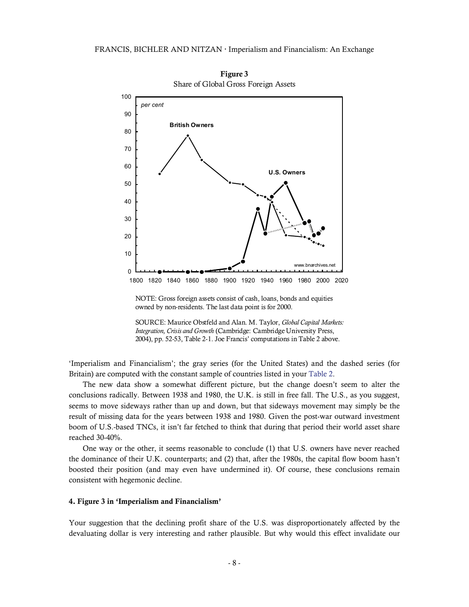

Figure 3 Share of Global Gross Foreign Assets

NOTE: Gross foreign assets consist of cash, loans, bonds and equities owned by non-residents. The last data point is for 2000.

SOURCE: Maurice Obstfeld and Alan. M. Taylor, *Global Capital Markets: Integration, Crisis and Growth* (Cambridge: Cambridge University Press, 2004), pp. 52-53, Table 2-1. Joe Francis' computations in Table 2 above.

'Imperialism and Financialism'; the gray series (for the United States) and the dashed series (for Britain) are computed with the constant sample of countries listed in your [Table 2.](#page-1-1)

<span id="page-7-0"></span>The new data show a somewhat different picture, but the change doesn't seem to alter the conclusions radically. Between 1938 and 1980, the U.K. is still in free fall. The U.S., as you suggest, seems to move sideways rather than up and down, but that sideways movement may simply be the result of missing data for the years between 1938 and 1980. Given the post-war outward investment boom of U.S.-based TNCs, it isn't far fetched to think that during that period their world asset share reached 30-40%.

One way or the other, it seems reasonable to conclude (1) that U.S. owners have never reached the dominance of their U.K. counterparts; and (2) that, after the 1980s, the capital flow boom hasn't boosted their position (and may even have undermined it). Of course, these conclusions remain consistent with hegemonic decline.

### 4. Figure 3 in 'Imperialism and Financialism'

Your suggestion that the declining profit share of the U.S. was disproportionately affected by the devaluating dollar is very interesting and rather plausible. But why would this effect invalidate our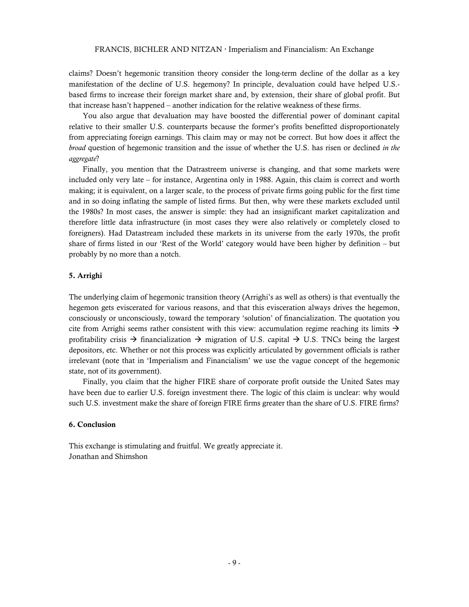claims? Doesn't hegemonic transition theory consider the long-term decline of the dollar as a key manifestation of the decline of U.S. hegemony? In principle, devaluation could have helped U.S. based firms to increase their foreign market share and, by extension, their share of global profit. But that increase hasn't happened – another indication for the relative weakness of these firms.

You also argue that devaluation may have boosted the differential power of dominant capital relative to their smaller U.S. counterparts because the former's profits benefitted disproportionately from appreciating foreign earnings. This claim may or may not be correct. But how does it affect the *broad* question of hegemonic transition and the issue of whether the U.S. has risen or declined *in the aggregate*?

Finally, you mention that the Datrastreem universe is changing, and that some markets were included only very late – for instance, Argentina only in 1988. Again, this claim is correct and worth making; it is equivalent, on a larger scale, to the process of private firms going public for the first time and in so doing inflating the sample of listed firms. But then, why were these markets excluded until the 1980s? In most cases, the answer is simple: they had an insignificant market capitalization and therefore little data infrastructure (in most cases they were also relatively or completely closed to foreigners). Had Datastream included these markets in its universe from the early 1970s, the profit share of firms listed in our 'Rest of the World' category would have been higher by definition – but probably by no more than a notch.

#### 5. Arrighi

The underlying claim of hegemonic transition theory (Arrighi's as well as others) is that eventually the hegemon gets eviscerated for various reasons, and that this evisceration always drives the hegemon, consciously or unconsciously, toward the temporary 'solution' of financialization. The quotation you cite from Arrighi seems rather consistent with this view: accumulation regime reaching its limits  $\rightarrow$ profitability crisis  $\rightarrow$  financialization  $\rightarrow$  migration of U.S. capital  $\rightarrow$  U.S. TNCs being the largest depositors, etc. Whether or not this process was explicitly articulated by government officials is rather irrelevant (note that in 'Imperialism and Financialism' we use the vague concept of the hegemonic state, not of its government).

Finally, you claim that the higher FIRE share of corporate profit outside the United Sates may have been due to earlier U.S. foreign investment there. The logic of this claim is unclear: why would such U.S. investment make the share of foreign FIRE firms greater than the share of U.S. FIRE firms?

### 6. Conclusion

This exchange is stimulating and fruitful. We greatly appreciate it. Jonathan and Shimshon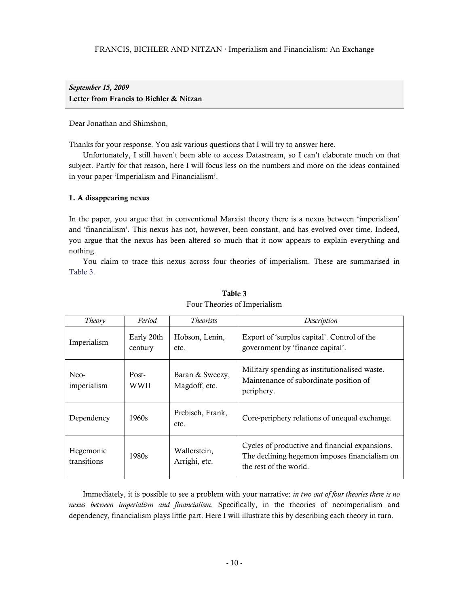# *September 15, 2009*  Letter from Francis to Bichler & Nitzan

Dear Jonathan and Shimshon,

Thanks for your response. You ask various questions that I will try to answer here.

Unfortunately, I still haven't been able to access Datastream, so I can't elaborate much on that subject. Partly for that reason, here I will focus less on the numbers and more on the ideas contained in your paper 'Imperialism and Financialism'.

### 1. A disappearing nexus

In the paper, you argue that in conventional Marxist theory there is a nexus between 'imperialism' and 'financialism'. This nexus has not, however, been constant, and has evolved over time. Indeed, you argue that the nexus has been altered so much that it now appears to explain everything and nothing.

You claim to trace this nexus across four theories of imperialism. These are summarised in [Table 3.](#page-9-0)

<span id="page-9-0"></span>

| Theory                   | Period                | <i>Theorists</i>                 | Description                                                                                                               |
|--------------------------|-----------------------|----------------------------------|---------------------------------------------------------------------------------------------------------------------------|
| Imperialism              | Early 20th<br>century | Hobson, Lenin,<br>etc.           | Export of 'surplus capital'. Control of the<br>government by 'finance capital'.                                           |
| Neo-<br>imperialism      | Post-<br>WWII         | Baran & Sweezy,<br>Magdoff, etc. | Military spending as institutionalised waste.<br>Maintenance of subordinate position of<br>periphery.                     |
| Dependency               | 1960s                 | Prebisch, Frank,<br>etc.         | Core-periphery relations of unequal exchange.                                                                             |
| Hegemonic<br>transitions | 1980s                 | Wallerstein.<br>Arrighi, etc.    | Cycles of productive and financial expansions.<br>The declining hegemon imposes financialism on<br>the rest of the world. |

## Table 3 Four Theories of Imperialism

Immediately, it is possible to see a problem with your narrative: *in two out of four theories there is no nexus between imperialism and financialism*. Specifically, in the theories of neoimperialism and dependency, financialism plays little part. Here I will illustrate this by describing each theory in turn.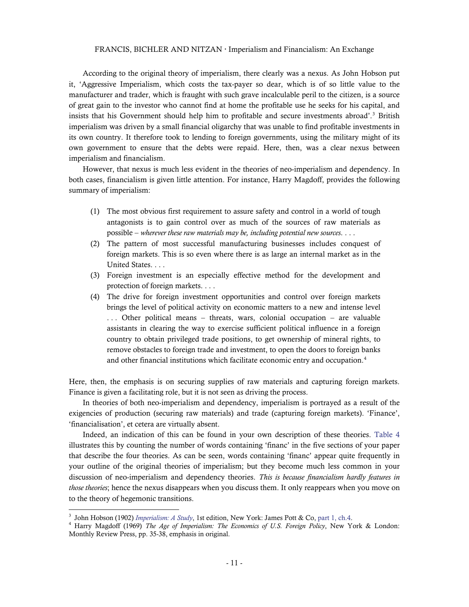According to the original theory of imperialism, there clearly was a nexus. As John Hobson put it, 'Aggressive Imperialism, which costs the tax-payer so dear, which is of so little value to the manufacturer and trader, which is fraught with such grave incalculable peril to the citizen, is a source of great gain to the investor who cannot find at home the profitable use he seeks for his capital, and insists that his Government should help him to profitable and secure investments abroad'.<sup>3</sup> British imperialism was driven by a small financial oligarchy that was unable to find profitable investments in its own country. It therefore took to lending to foreign governments, using the military might of its own government to ensure that the debts were repaid. Here, then, was a clear nexus between imperialism and financialism.

However, that nexus is much less evident in the theories of neo-imperialism and dependency. In both cases, financialism is given little attention. For instance, Harry Magdoff, provides the following summary of imperialism:

- (1) The most obvious first requirement to assure safety and control in a world of tough antagonists is to gain control over as much of the sources of raw materials as possible – *wherever these raw materials may be, including potential new sources*. . . .
- (2) The pattern of most successful manufacturing businesses includes conquest of foreign markets. This is so even where there is as large an internal market as in the United States. . . .
- (3) Foreign investment is an especially effective method for the development and protection of foreign markets. . . .
- (4) The drive for foreign investment opportunities and control over foreign markets brings the level of political activity on economic matters to a new and intense level . . . Other political means – threats, wars, colonial occupation – are valuable assistants in clearing the way to exercise sufficient political influence in a foreign country to obtain privileged trade positions, to get ownership of mineral rights, to remove obstacles to foreign trade and investment, to open the doors to foreign banks and other financial institutions which facilitate economic entry and occupation[.4](#page-10-1)

Here, then, the emphasis is on securing supplies of raw materials and capturing foreign markets. Finance is given a facilitating role, but it is not seen as driving the process.

In theories of both neo-imperialism and dependency, imperialism is portrayed as a result of the exigencies of production (securing raw materials) and trade (capturing foreign markets). 'Finance', 'financialisation', et cetera are virtually absent.

Indeed, an indication of this can be found in your own description of these theories. [Table 4](#page-11-0) illustrates this by counting the number of words containing 'financ' in the five sections of your paper that describe the four theories. As can be seen, words containing 'financ' appear quite frequently in your outline of the original theories of imperialism; but they become much less common in your discussion of neo-imperialism and dependency theories. *This is because financialism hardly features in*  those theories; hence the nexus disappears when you discuss them. It only reappears when you move on to the theory of hegemonic transitions.

<sup>&</sup>lt;sup>3</sup> John Hobson (1902) *Imperialism: A Study*, 1st edition, New York: James Pott & Co, [part 1, ch.4](http://www.marxists.org/archive/hobson/1902/imperialism/pt1ch4.htm).<br><sup>4</sup> Harry Magdoff (1969) *The Age of Imperialism: The Franquise of U.S. Foreign Poliny Now Yo* 

<span id="page-10-1"></span><span id="page-10-0"></span>Harry Magdoff (1969) *The Age of Imperialism: The Economics of U.S. Foreign Policy*, New York & London: Monthly Review Press, pp. 35-38, emphasis in original.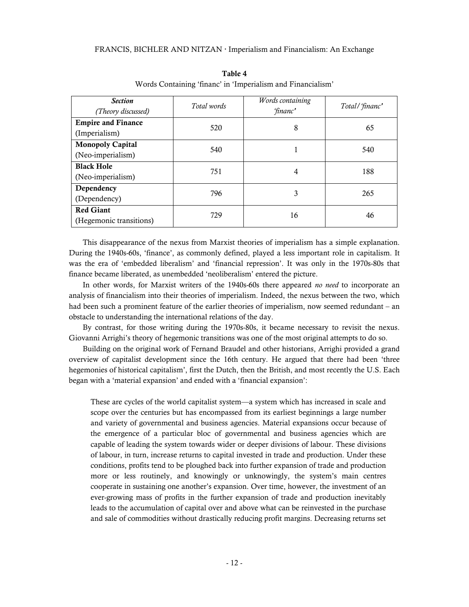<span id="page-11-0"></span>

| <b>Section</b><br>(Theory discussed)         | Total words | Words containing<br>'financ' | Total/'financ' |
|----------------------------------------------|-------------|------------------------------|----------------|
| <b>Empire and Finance</b><br>(Imperialism)   | 520         | 8                            | 65             |
| <b>Monopoly Capital</b><br>(Neo-imperialism) | 540         |                              | 540            |
| <b>Black Hole</b><br>(Neo-imperialism)       | 751         | 4                            | 188            |
| Dependency<br>(Dependency)                   | 796         | 3                            | 265            |
| <b>Red Giant</b><br>(Hegemonic transitions)  | 729         | 16                           | 46             |

Table 4 Words Containing 'financ' in 'Imperialism and Financialism'

This disappearance of the nexus from Marxist theories of imperialism has a simple explanation. During the 1940s-60s, 'finance', as commonly defined, played a less important role in capitalism. It was the era of 'embedded liberalism' and 'financial repression'. It was only in the 1970s-80s that finance became liberated, as unembedded 'neoliberalism' entered the picture.

In other words, for Marxist writers of the 1940s-60s there appeared *no need* to incorporate an analysis of financialism into their theories of imperialism. Indeed, the nexus between the two, which had been such a prominent feature of the earlier theories of imperialism, now seemed redundant – an obstacle to understanding the international relations of the day.

By contrast, for those writing during the 1970s-80s, it became necessary to revisit the nexus. Giovanni Arrighi's theory of hegemonic transitions was one of the most original attempts to do so.

Building on the original work of Fernand Braudel and other historians, Arrighi provided a grand overview of capitalist development since the 16th century. He argued that there had been 'three hegemonies of historical capitalism', first the Dutch, then the British, and most recently the U.S. Each began with a 'material expansion' and ended with a 'financial expansion':

These are cycles of the world capitalist system—a system which has increased in scale and scope over the centuries but has encompassed from its earliest beginnings a large number and variety of governmental and business agencies. Material expansions occur because of the emergence of a particular bloc of governmental and business agencies which are capable of leading the system towards wider or deeper divisions of labour. These divisions of labour, in turn, increase returns to capital invested in trade and production. Under these conditions, profits tend to be ploughed back into further expansion of trade and production more or less routinely, and knowingly or unknowingly, the system's main centres cooperate in sustaining one another's expansion. Over time, however, the investment of an ever-growing mass of profits in the further expansion of trade and production inevitably leads to the accumulation of capital over and above what can be reinvested in the purchase and sale of commodities without drastically reducing profit margins. Decreasing returns set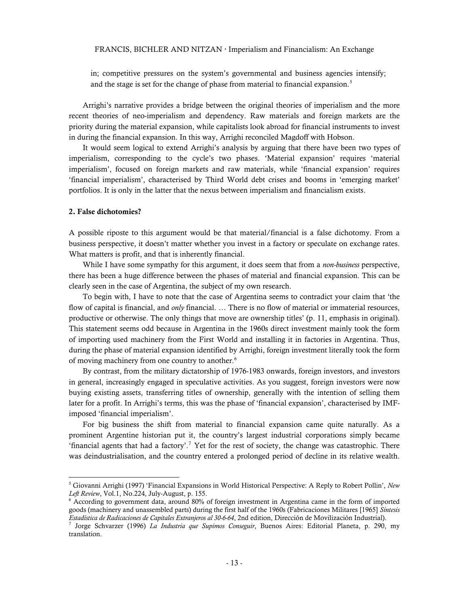in; competitive pressures on the system's governmental and business agencies intensify; and the stage is set for the change of phase from material to financial expansion.<sup>[5](#page-12-0)</sup>

Arrighi's narrative provides a bridge between the original theories of imperialism and the more recent theories of neo-imperialism and dependency. Raw materials and foreign markets are the priority during the material expansion, while capitalists look abroad for financial instruments to invest in during the financial expansion. In this way, Arrighi reconciled Magdoff with Hobson.

It would seem logical to extend Arrighi's analysis by arguing that there have been two types of imperialism, corresponding to the cycle's two phases. 'Material expansion' requires 'material imperialism', focused on foreign markets and raw materials, while 'financial expansion' requires 'financial imperialism', characterised by Third World debt crises and booms in 'emerging market' portfolios. It is only in the latter that the nexus between imperialism and financialism exists.

#### 2. False dichotomies?

A possible riposte to this argument would be that material/financial is a false dichotomy. From a business perspective, it doesn't matter whether you invest in a factory or speculate on exchange rates. What matters is profit, and that is inherently financial.

While I have some sympathy for this argument, it does seem that from a *non-business* perspective, there has been a huge difference between the phases of material and financial expansion. This can be clearly seen in the case of Argentina, the subject of my own research.

To begin with, I have to note that the case of Argentina seems to contradict your claim that 'the flow of capital is financial, and *only* financial. ... There is no flow of material or immaterial resources, productive or otherwise. The only things that move are ownership titles' (p. 11, emphasis in original). This statement seems odd because in Argentina in the 1960s direct investment mainly took the form of importing used machinery from the First World and installing it in factories in Argentina. Thus, during the phase of material expansion identified by Arrighi, foreign investment literally took the form of moving machinery from one country to another.<sup>[6](#page-12-1)</sup>

By contrast, from the military dictatorship of 1976-1983 onwards, foreign investors, and investors in general, increasingly engaged in speculative activities. As you suggest, foreign investors were now buying existing assets, transferring titles of ownership, generally with the intention of selling them later for a profit. In Arrighi's terms, this was the phase of 'financial expansion', characterised by IMFimposed 'financial imperialism'.

For big business the shift from material to financial expansion came quite naturally. As a prominent Argentine historian put it, the country's largest industrial corporations simply became 'financial agents that had a factory'.<sup>[7](#page-12-2)</sup> Yet for the rest of society, the change was catastrophic. There was deindustrialisation, and the country entered a prolonged period of decline in its relative wealth.

<span id="page-12-0"></span><sup>5</sup> Giovanni Arrighi (1997) 'Financial Expansions in World Historical Perspective: A Reply to Robert Pollin', *New Left Review*, Vol.1, No.224, July-August, p. 155. 6

<span id="page-12-1"></span>According to government data, around 80% of foreign investment in Argentina came in the form of imported goods (machinery and unassembled parts) during the first half of the 1960s (Fabricaciones Militares [1965] *Síntesis Estadística de Radicaciones de Capitales Extranjeros al 30-6-64*, 2nd edition, Dirección de Movilización Industrial). 7

<span id="page-12-2"></span><sup>&</sup>lt;sup>7</sup> Jorge Schvarzer (1996) *La Industria que Supimos Conseguir*, Buenos Aires: Editorial Planeta, p. 290, my translation.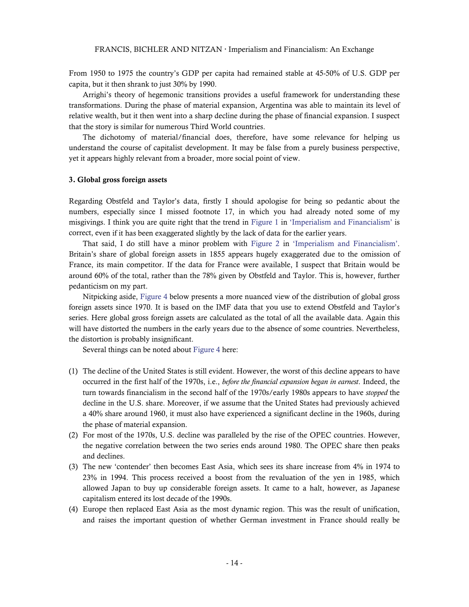From 1950 to 1975 the country's GDP per capita had remained stable at 45-50% of U.S. GDP per capita, but it then shrank to just 30% by 1990.

Arrighi's theory of hegemonic transitions provides a useful framework for understanding these transformations. During the phase of material expansion, Argentina was able to maintain its level of relative wealth, but it then went into a sharp decline during the phase of financial expansion. I suspect that the story is similar for numerous Third World countries.

The dichotomy of material/financial does, therefore, have some relevance for helping us understand the course of capitalist development. It may be false from a purely business perspective, yet it appears highly relevant from a broader, more social point of view.

#### 3. Global gross foreign assets

Regarding Obstfeld and Taylor's data, firstly I should apologise for being so pedantic about the numbers, especially since I missed footnote 17, in which you had already noted some of my misgivings. I think you are quite right that the trend in [Figure 1](http://bnarchives.yorku.ca/267/03/if_fig1_ratio_of_global_foreign_assets_to_global_gdp.jpg) in ['Imperialism and Financialism'](http://bnarchives.yorku.ca/267/) is correct, even if it has been exaggerated slightly by the lack of data for the earlier years.

That said, I do still have a minor problem with [Figure 2](http://bnarchives.yorku.ca/267/04/if_fig2_share_of_global_foreign_assets.jpg) in ['Imperialism and Financialism'](http://bnarchives.yorku.ca/267/). Britain's share of global foreign assets in 1855 appears hugely exaggerated due to the omission of France, its main competitor. If the data for France were available, I suspect that Britain would be around 60% of the total, rather than the 78% given by Obstfeld and Taylor. This is, however, further pedanticism on my part.

Nitpicking aside, [Figure 4](#page-14-0) below presents a more nuanced view of the distribution of global gross foreign assets since 1970. It is based on the IMF data that you use to extend Obstfeld and Taylor's series. Here global gross foreign assets are calculated as the total of all the available data. Again this will have distorted the numbers in the early years due to the absence of some countries. Nevertheless, the distortion is probably insignificant.

Several things can be noted about [Figure 4](#page-14-0) here:

- (1) The decline of the United States is still evident. However, the worst of this decline appears to have occurred in the first half of the 1970s, i.e., *before the financial expansion began in earnest*. Indeed, the turn towards financialism in the second half of the 1970s/early 1980s appears to have *stopped* the decline in the U.S. share. Moreover, if we assume that the United States had previously achieved a 40% share around 1960, it must also have experienced a significant decline in the 1960s, during the phase of material expansion.
- (2) For most of the 1970s, U.S. decline was paralleled by the rise of the OPEC countries. However, the negative correlation between the two series ends around 1980. The OPEC share then peaks and declines.
- (3) The new 'contender' then becomes East Asia, which sees its share increase from 4% in 1974 to 23% in 1994. This process received a boost from the revaluation of the yen in 1985, which allowed Japan to buy up considerable foreign assets. It came to a halt, however, as Japanese capitalism entered its lost decade of the 1990s.
- (4) Europe then replaced East Asia as the most dynamic region. This was the result of unification, and raises the important question of whether German investment in France should really be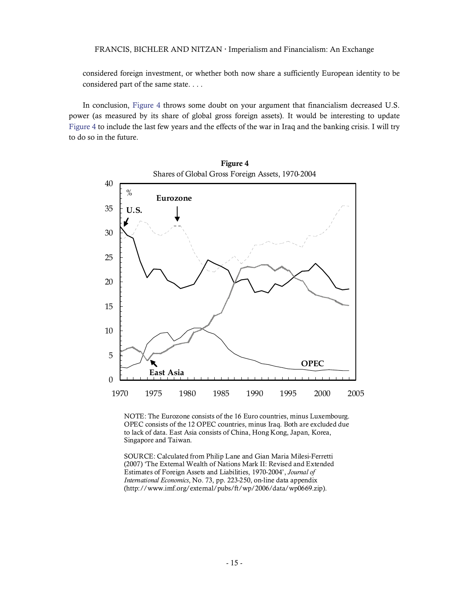considered foreign investment, or whether both now share a sufficiently European identity to be considered part of the same state. . . .

In conclusion, [Figure 4](#page-14-0) throws some doubt on your argument that financialism decreased U.S. power (as measured by its share of global gross foreign assets). It would be interesting to update [Figure 4](#page-14-0) to include the last few years and the effects of the war in Iraq and the banking crisis. I will try to do so in the future.



Figure 4 Shares of Global Gross Foreign Assets, 1970-2004

NOTE: The Eurozone consists of the 16 Euro countries, minus Luxembourg. OPEC consists of the 12 OPEC countries, minus Iraq. Both are excluded due to lack of data. East Asia consists of China, Hong Kong, Japan, Korea, Singapore and Taiwan.

<span id="page-14-0"></span>SOURCE: Calculated from Philip Lane and Gian Maria Milesi-Ferretti (2007) 'The External Wealth of Nations Mark II: Revised and Extended Estimates of Foreign Assets and Liabilities, 1970-2004', *Journal of International Economics*, No. 73, pp. 223-250, on-line data appendix (http://www.imf.org/external/pubs/ft/wp/2006/data/wp0669.zip).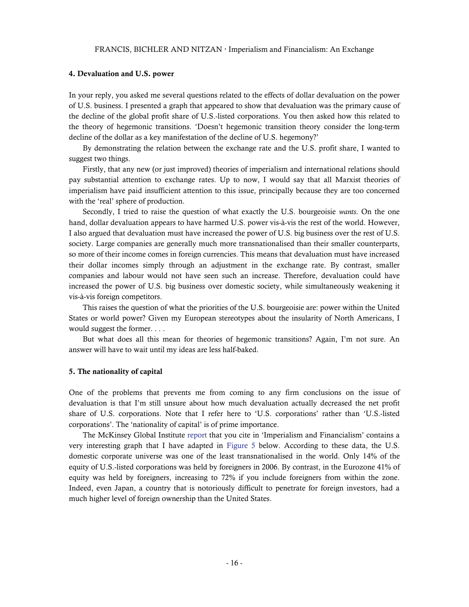### 4. Devaluation and U.S. power

In your reply, you asked me several questions related to the effects of dollar devaluation on the power of U.S. business. I presented a graph that appeared to show that devaluation was the primary cause of the decline of the global profit share of U.S.-listed corporations. You then asked how this related to the theory of hegemonic transitions. 'Doesn't hegemonic transition theory consider the long-term decline of the dollar as a key manifestation of the decline of U.S. hegemony?'

By demonstrating the relation between the exchange rate and the U.S. profit share, I wanted to suggest two things.

Firstly, that any new (or just improved) theories of imperialism and international relations should pay substantial attention to exchange rates. Up to now, I would say that all Marxist theories of imperialism have paid insufficient attention to this issue, principally because they are too concerned with the 'real' sphere of production.

Secondly, I tried to raise the question of what exactly the U.S. bourgeoisie *wants*. On the one hand, dollar devaluation appears to have harmed U.S. power vis-à-vis the rest of the world. However, I also argued that devaluation must have increased the power of U.S. big business over the rest of U.S. society. Large companies are generally much more transnationalised than their smaller counterparts, so more of their income comes in foreign currencies. This means that devaluation must have increased their dollar incomes simply through an adjustment in the exchange rate. By contrast, smaller companies and labour would not have seen such an increase. Therefore, devaluation could have increased the power of U.S. big business over domestic society, while simultaneously weakening it vis-à-vis foreign competitors.

This raises the question of what the priorities of the U.S. bourgeoisie are: power within the United States or world power? Given my European stereotypes about the insularity of North Americans, I would suggest the former. . . .

But what does all this mean for theories of hegemonic transitions? Again, I'm not sure. An answer will have to wait until my ideas are less half-baked.

#### 5. The nationality of capital

One of the problems that prevents me from coming to any firm conclusions on the issue of devaluation is that I'm still unsure about how much devaluation actually decreased the net profit share of U.S. corporations. Note that I refer here to 'U.S. corporations' rather than 'U.S.-listed corporations'. The 'nationality of capital' is of prime importance.

The McKinsey Global Institute [report](http://www.mckinsey.com/mgi/publications/Mapping_Global/index.asp) that you cite in 'Imperialism and Financialism' contains a very interesting graph that I have adapted in [Figure 5](#page-16-0) below. According to these data, the U.S. domestic corporate universe was one of the least transnationalised in the world. Only 14% of the equity of U.S.-listed corporations was held by foreigners in 2006. By contrast, in the Eurozone 41% of equity was held by foreigners, increasing to 72% if you include foreigners from within the zone. Indeed, even Japan, a country that is notoriously difficult to penetrate for foreign investors, had a much higher level of foreign ownership than the United States.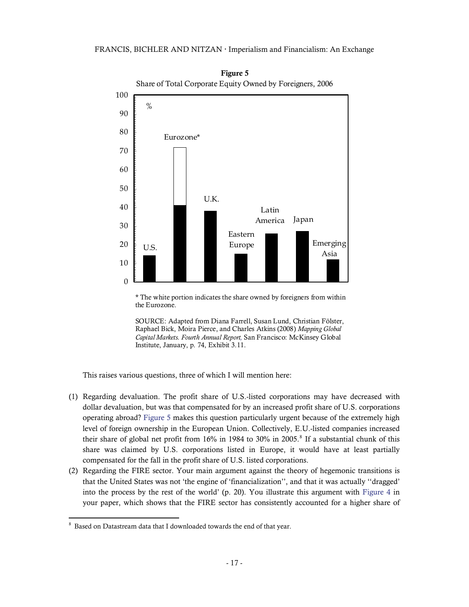

Figure 5 Share of Total Corporate Equity Owned by Foreigners, 2006

\* The white portion indicates the share owned by foreigners from within the Eurozone.



This raises various questions, three of which I will mention here:

- <span id="page-16-0"></span>(1) Regarding devaluation. The profit share of U.S.-listed corporations may have decreased with dollar devaluation, but was that compensated for by an increased profit share of U.S. corporations operating abroad? [Figure 5](#page-16-0) makes this question particularly urgent because of the extremely high level of foreign ownership in the European Union. Collectively, E.U.-listed companies increased their share of global net profit from  $16\%$  in  $1984$  $1984$  $1984$  to  $30\%$  in  $2005$ .<sup>8</sup> If a substantial chunk of this share was claimed by U.S. corporations listed in Europe, it would have at least partially compensated for the fall in the profit share of U.S. listed corporations.
- (2) Regarding the FIRE sector. Your main argument against the theory of hegemonic transitions is that the United States was not 'the engine of 'financialization'', and that it was actually ''dragged' into the process by the rest of the world' (p. 20). You illustrate this argument with [Figure 4](http://bnarchives.yorku.ca/267/06/if_fig4_fire_corporations_share_of_total_net_profit.jpg) in your paper, which shows that the FIRE sector has consistently accounted for a higher share of

<span id="page-16-1"></span> $8$  Based on Datastream data that I downloaded towards the end of that year.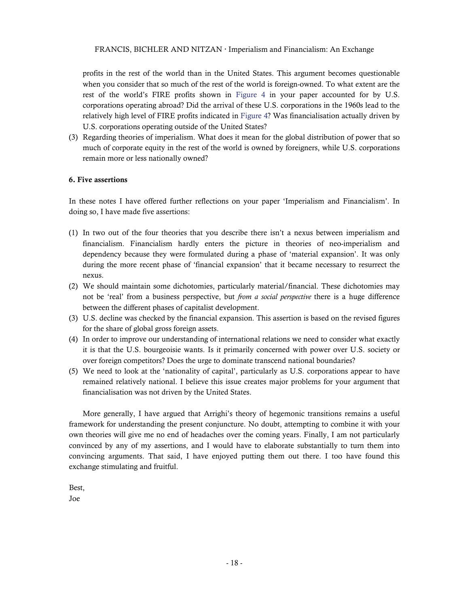profits in the rest of the world than in the United States. This argument becomes questionable when you consider that so much of the rest of the world is foreign-owned. To what extent are the rest of the world's FIRE profits shown in Figure 4 in your paper accounted for by U.S. corporations operating abroad? Did the arrival of these U.S. corporations in the 1960s lead to the relatively high level of FIRE profits indicated in Figure 4? Was financialisation actually driven by U.S. corporations operating outside of the United States?

(3) Regarding theories of imperialism. What does it mean for the global distribution of power that so much of corporate equity in the rest of the world is owned by foreigners, while U.S. corporations remain more or less nationally owned?

### 6. Five assertions

In these notes I have offered further reflections on your paper 'Imperialism and Financialism'. In doing so, I have made five assertions:

- (1) In two out of the four theories that you describe there isn't a nexus between imperialism and financialism. Financialism hardly enters the picture in theories of neo-imperialism and dependency because they were formulated during a phase of 'material expansion'. It was only during the more recent phase of 'financial expansion' that it became necessary to resurrect the nexus.
- (2) We should maintain some dichotomies, particularly material/financial. These dichotomies may not be 'real' from a business perspective, but *from a social perspective* there is a huge difference between the different phases of capitalist development.
- (3) U.S. decline was checked by the financial expansion. This assertion is based on the revised figures for the share of global gross foreign assets.
- (4) In order to improve our understanding of international relations we need to consider what exactly it is that the U.S. bourgeoisie wants. Is it primarily concerned with power over U.S. society or over foreign competitors? Does the urge to dominate transcend national boundaries?
- (5) We need to look at the 'nationality of capital', particularly as U.S. corporations appear to have remained relatively national. I believe this issue creates major problems for your argument that financialisation was not driven by the United States.

More generally, I have argued that Arrighi's theory of hegemonic transitions remains a useful framework for understanding the present conjuncture. No doubt, attempting to combine it with your own theories will give me no end of headaches over the coming years. Finally, I am not particularly convinced by any of my assertions, and I would have to elaborate substantially to turn them into convincing arguments. That said, I have enjoyed putting them out there. I too have found this exchange stimulating and fruitful.

Best,

Joe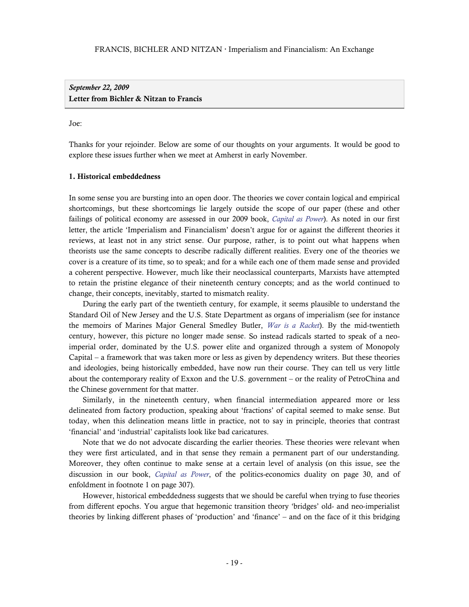*September 22, 2009*  Letter from Bichler & Nitzan to Francis

#### Joe:

Thanks for your rejoinder. Below are some of our thoughts on your arguments. It would be good to explore these issues further when we meet at Amherst in early November.

### 1. Historical embeddedness

In some sense you are bursting into an open door. The theories we cover contain logical and empirical shortcomings, but these shortcomings lie largely outside the scope of our paper (these and other failings of political economy are assessed in our 2009 book, *[Capital as Power](http://bnarchives.yorku.ca/259/)*). As noted in our first letter, the article 'Imperialism and Financialism' doesn't argue for or against the different theories it reviews, at least not in any strict sense. Our purpose, rather, is to point out what happens when theorists use the same concepts to describe radically different realities. Every one of the theories we cover is a creature of its time, so to speak; and for a while each one of them made sense and provided a coherent perspective. However, much like their neoclassical counterparts, Marxists have attempted to retain the pristine elegance of their nineteenth century concepts; and as the world continued to change, their concepts, inevitably, started to mismatch reality.

During the early part of the twentieth century, for example, it seems plausible to understand the Standard Oil of New Jersey and the U.S. State Department as organs of imperialism (see for instance the memoirs of Marines Major General Smedley Butler, *[War is a Racket](http://www.ratical.org/ratville/CAH/warisaracket.html)*). By the mid-twentieth century, however, this picture no longer made sense. So instead radicals started to speak of a neoimperial order, dominated by the U.S. power elite and organized through a system of Monopoly Capital – a framework that was taken more or less as given by dependency writers. But these theories and ideologies, being historically embedded, have now run their course. They can tell us very little about the contemporary reality of Exxon and the U.S. government – or the reality of PetroChina and the Chinese government for that matter.

Similarly, in the nineteenth century, when financial intermediation appeared more or less delineated from factory production, speaking about 'fractions' of capital seemed to make sense. But today, when this delineation means little in practice, not to say in principle, theories that contrast 'financial' and 'industrial' capitalists look like bad caricatures.

Note that we do not advocate discarding the earlier theories. These theories were relevant when they were first articulated, and in that sense they remain a permanent part of our understanding. Moreover, they often continue to make sense at a certain level of analysis (on this issue, see the discussion in our book, *[Capital as Power](http://bnarchives.yorku.ca/259/)*, of the politics-economics duality on page 30, and of enfoldment in footnote 1 on page 307).

However, historical embeddedness suggests that we should be careful when trying to fuse theories from different epochs. You argue that hegemonic transition theory 'bridges' old- and neo-imperialist theories by linking different phases of 'production' and 'finance' – and on the face of it this bridging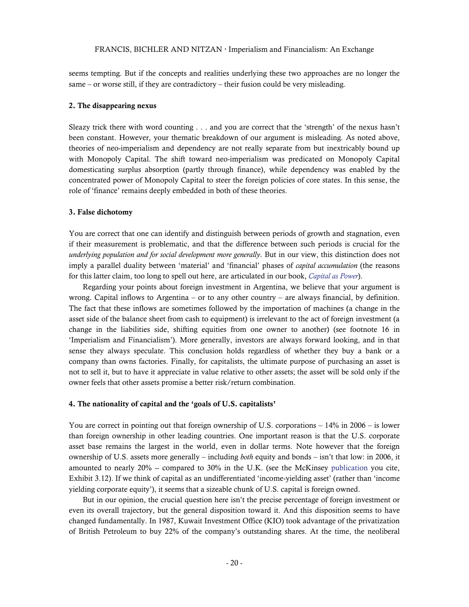seems tempting. But if the concepts and realities underlying these two approaches are no longer the same – or worse still, if they are contradictory – their fusion could be very misleading.

### 2. The disappearing nexus

Sleazy trick there with word counting . . . and you are correct that the 'strength' of the nexus hasn't been constant. However, your thematic breakdown of our argument is misleading. As noted above, theories of neo-imperialism and dependency are not really separate from but inextricably bound up with Monopoly Capital. The shift toward neo-imperialism was predicated on Monopoly Capital domesticating surplus absorption (partly through finance), while dependency was enabled by the concentrated power of Monopoly Capital to steer the foreign policies of core states. In this sense, the role of 'finance' remains deeply embedded in both of these theories.

#### 3. False dichotomy

You are correct that one can identify and distinguish between periods of growth and stagnation, even if their measurement is problematic, and that the difference between such periods is crucial for the *underlying population and for social development more generally*. But in our view, this distinction does not imply a parallel duality between 'material' and 'financial' phases of *capital accumulation* (the reasons for this latter claim, too long to spell out here, are articulated in our book, *[Capital as Power](http://bnarchives.yorku.ca/259/)*).

Regarding your points about foreign investment in Argentina, we believe that your argument is wrong. Capital inflows to Argentina – or to any other country – are always financial, by definition. The fact that these inflows are sometimes followed by the importation of machines (a change in the asset side of the balance sheet from cash to equipment) is irrelevant to the act of foreign investment (a change in the liabilities side, shifting equities from one owner to another) (see footnote 16 in 'Imperialism and Financialism'). More generally, investors are always forward looking, and in that sense they always speculate. This conclusion holds regardless of whether they buy a bank or a company than owns factories. Finally, for capitalists, the ultimate purpose of purchasing an asset is not to sell it, but to have it appreciate in value relative to other assets; the asset will be sold only if the owner feels that other assets promise a better risk/return combination.

### 4. The nationality of capital and the 'goals of U.S. capitalists'

You are correct in pointing out that foreign ownership of U.S. corporations – 14% in 2006 – is lower than foreign ownership in other leading countries. One important reason is that the U.S. corporate asset base remains the largest in the world, even in dollar terms. Note however that the foreign ownership of U.S. assets more generally – including *both* equity and bonds – isn't that low: in 2006, it amounted to nearly 20% -- compared to 30% in the U.K. (see the McKinsey [publication](http://www.mckinsey.com/mgi/publications/Mapping_Global/index.asp) you cite, Exhibit 3.12). If we think of capital as an undifferentiated 'income-yielding asset' (rather than 'income yielding corporate equity'), it seems that a sizeable chunk of U.S. capital is foreign owned.

But in our opinion, the crucial question here isn't the precise percentage of foreign investment or even its overall trajectory, but the general disposition toward it. And this disposition seems to have changed fundamentally. In 1987, Kuwait Investment Office (KIO) took advantage of the privatization of British Petroleum to buy 22% of the company's outstanding shares. At the time, the neoliberal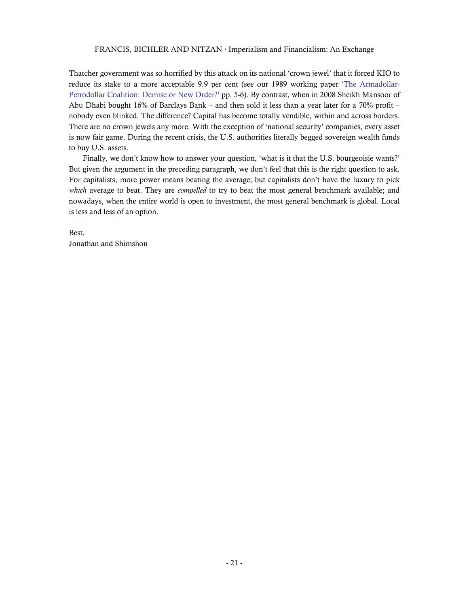Thatcher government was so horrified by this attack on its national 'crown jewel' that it forced KIO to reduce its stake to a more acceptable 9.9 per cent (see our 1989 working paper ['The Armadollar-](http://bnarchives.yorku.ca/135/)[Petrodollar Coalition: Demise or New Order?'](http://bnarchives.yorku.ca/135/) pp. 5-6). By contrast, when in 2008 Sheikh Mansoor of Abu Dhabi bought 16% of Barclays Bank – and then sold it less than a year later for a 70% profit – nobody even blinked. The difference? Capital has become totally vendible, within and across borders. There are no crown jewels any more. With the exception of 'national security' companies, every asset is now fair game. During the recent crisis, the U.S. authorities literally begged sovereign wealth funds to buy U.S. assets.

Finally, we don't know how to answer your question, 'what is it that the U.S. bourgeoisie wants?' But given the argument in the preceding paragraph, we don't feel that this is the right question to ask. For capitalists, more power means beating the average; but capitalists don't have the luxury to pick *which* average to beat. They are *compelled* to try to beat the most general benchmark available; and nowadays, when the entire world is open to investment, the most general benchmark is global. Local is less and less of an option.

Best, Jonathan and Shimshon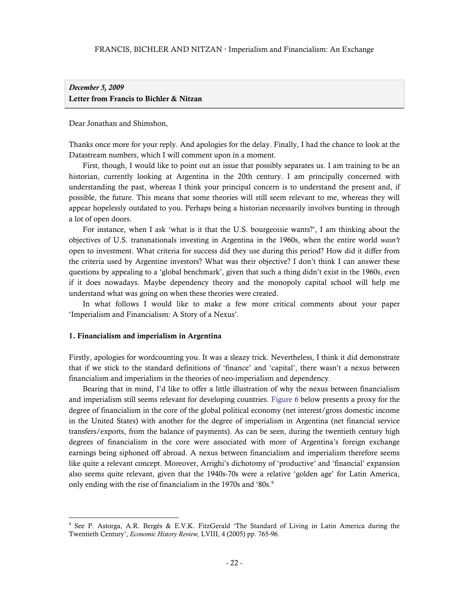# *December 5, 2009*  Letter from Francis to Bichler & Nitzan

Dear Jonathan and Shimshon,

Thanks once more for your reply. And apologies for the delay. Finally, I had the chance to look at the Datastream numbers, which I will comment upon in a moment.

First, though, I would like to point out an issue that possibly separates us. I am training to be an historian, currently looking at Argentina in the 20th century. I am principally concerned with understanding the past, whereas I think your principal concern is to understand the present and, if possible, the future. This means that some theories will still seem relevant to me, whereas they will appear hopelessly outdated to you. Perhaps being a historian necessarily involves bursting in through a lot of open doors.

For instance, when I ask 'what is it that the U.S. bourgeoisie wants?', I am thinking about the objectives of U.S. transnationals investing in Argentina in the 1960s, when the entire world *wasn't* open to investment. What criteria for success did they use during this period? How did it differ from the criteria used by Argentine investors? What was their objective? I don't think I can answer these questions by appealing to a 'global benchmark', given that such a thing didn't exist in the 1960s, even if it does nowadays. Maybe dependency theory and the monopoly capital school will help me understand what was going on when these theories were created.

In what follows I would like to make a few more critical comments about your paper 'Imperialism and Financialism: A Story of a Nexus'.

#### 1. Financialism and imperialism in Argentina

Firstly, apologies for wordcounting you. It was a sleazy trick. Nevertheless, I think it did demonstrate that if we stick to the standard definitions of 'finance' and 'capital', there wasn't a nexus between financialism and imperialism in the theories of neo-imperialism and dependency.

Bearing that in mind, I'd like to offer a little illustration of why the nexus between financialism and imperialism still seems relevant for developing countries. [Figure 6](#page-22-0) below presents a proxy for the degree of financialism in the core of the global political economy (net interest/gross domestic income in the United States) with another for the degree of imperialism in Argentina (net financial service transfers/exports, from the balance of payments). As can be seen, during the twentieth century high degrees of financialism in the core were associated with more of Argentina's foreign exchange earnings being siphoned off abroad. A nexus between financialism and imperialism therefore seems like quite a relevant concept. Moreover, Arrighi's dichotomy of 'productive' and 'financial' expansion also seems quite relevant, given that the 1940s-70s were a relative 'golden age' for Latin America, only ending with the rise of financialism in the 1970s and '80s.<sup>9</sup>

<span id="page-21-0"></span><sup>9</sup> See P. Astorga, A.R. Bergés & E.V.K. FitzGerald 'The Standard of Living in Latin America during the Twentieth Century', *Economic History Review,* LVIII, 4 (2005) pp. 765-96.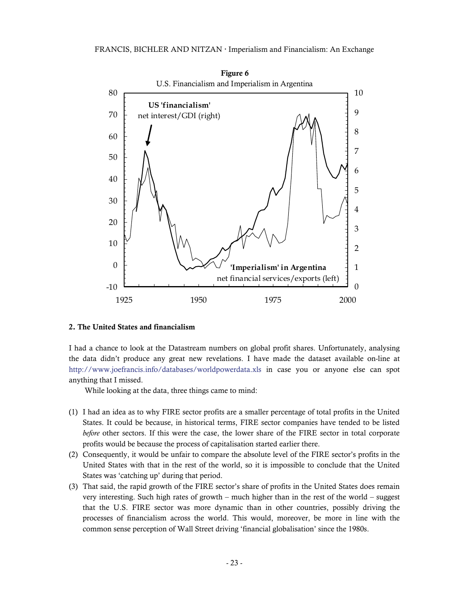

### <span id="page-22-0"></span>2. The United States and financialism

I had a chance to look at the Datastream numbers on global profit shares. Unfortunately, analysing the data didn't produce any great new revelations. I have made the dataset available on-line at <http://www.joefrancis.info/databases/worldpowerdata.xls> in case you or anyone else can spot anything that I missed.

While looking at the data, three things came to mind:

- (1) I had an idea as to why FIRE sector profits are a smaller percentage of total profits in the United States. It could be because, in historical terms, FIRE sector companies have tended to be listed *before* other sectors. If this were the case, the lower share of the FIRE sector in total corporate profits would be because the process of capitalisation started earlier there.
- (2) Consequently, it would be unfair to compare the absolute level of the FIRE sector's profits in the United States with that in the rest of the world, so it is impossible to conclude that the United States was 'catching up' during that period.
- (3) That said, the rapid growth of the FIRE sector's share of profits in the United States does remain very interesting. Such high rates of growth – much higher than in the rest of the world – suggest that the U.S. FIRE sector was more dynamic than in other countries, possibly driving the processes of financialism across the world. This would, moreover, be more in line with the common sense perception of Wall Street driving 'financial globalisation' since the 1980s.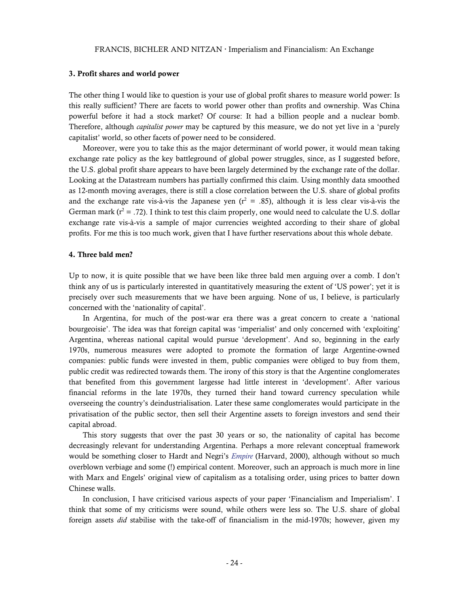### 3. Profit shares and world power

The other thing I would like to question is your use of global profit shares to measure world power: Is this really sufficient? There are facets to world power other than profits and ownership. Was China powerful before it had a stock market? Of course: It had a billion people and a nuclear bomb. Therefore, although *capitalist power* may be captured by this measure, we do not yet live in a 'purely capitalist' world, so other facets of power need to be considered.

Moreover, were you to take this as the major determinant of world power, it would mean taking exchange rate policy as the key battleground of global power struggles, since, as I suggested before, the U.S. global profit share appears to have been largely determined by the exchange rate of the dollar. Looking at the Datastream numbers has partially confirmed this claim. Using monthly data smoothed as 12-month moving averages, there is still a close correlation between the U.S. share of global profits and the exchange rate vis-à-vis the Japanese yen  $(r^2 = .85)$ , although it is less clear vis-à-vis the German mark ( $r^2 = .72$ ). I think to test this claim properly, one would need to calculate the U.S. dollar exchange rate vis-à-vis a sample of major currencies weighted according to their share of global profits. For me this is too much work, given that I have further reservations about this whole debate.

#### 4. Three bald men?

Up to now, it is quite possible that we have been like three bald men arguing over a comb. I don't think any of us is particularly interested in quantitatively measuring the extent of 'US power'; yet it is precisely over such measurements that we have been arguing. None of us, I believe, is particularly concerned with the 'nationality of capital'.

In Argentina, for much of the post-war era there was a great concern to create a 'national bourgeoisie'. The idea was that foreign capital was 'imperialist' and only concerned with 'exploiting' Argentina, whereas national capital would pursue 'development'. And so, beginning in the early 1970s, numerous measures were adopted to promote the formation of large Argentine-owned companies: public funds were invested in them, public companies were obliged to buy from them, public credit was redirected towards them. The irony of this story is that the Argentine conglomerates that benefited from this government largesse had little interest in 'development'. After various financial reforms in the late 1970s, they turned their hand toward currency speculation while overseeing the country's deindustrialisation. Later these same conglomerates would participate in the privatisation of the public sector, then sell their Argentine assets to foreign investors and send their capital abroad.

This story suggests that over the past 30 years or so, the nationality of capital has become decreasingly relevant for understanding Argentina. Perhaps a more relevant conceptual framework would be something closer to Hardt and Negri's *[Empire](http://www.angelfire.com/cantina/negri/HAREMI_unprintable.pdf)* (Harvard, 2000), although without so much overblown verbiage and some (!) empirical content. Moreover, such an approach is much more in line with Marx and Engels' original view of capitalism as a totalising order, using prices to batter down Chinese walls.

In conclusion, I have criticised various aspects of your paper 'Financialism and Imperialism'. I think that some of my criticisms were sound, while others were less so. The U.S. share of global foreign assets *did* stabilise with the take-off of financialism in the mid-1970s; however, given my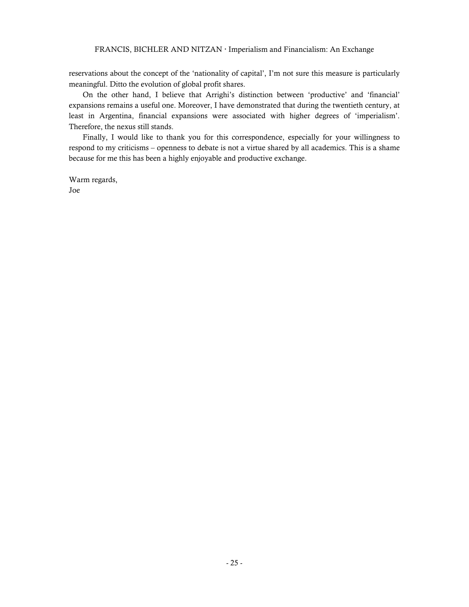reservations about the concept of the 'nationality of capital', I'm not sure this measure is particularly meaningful. Ditto the evolution of global profit shares.

On the other hand, I believe that Arrighi's distinction between 'productive' and 'financial' expansions remains a useful one. Moreover, I have demonstrated that during the twentieth century, at least in Argentina, financial expansions were associated with higher degrees of 'imperialism'. Therefore, the nexus still stands.

Finally, I would like to thank you for this correspondence, especially for your willingness to respond to my criticisms – openness to debate is not a virtue shared by all academics. This is a shame because for me this has been a highly enjoyable and productive exchange.

Warm regards, Joe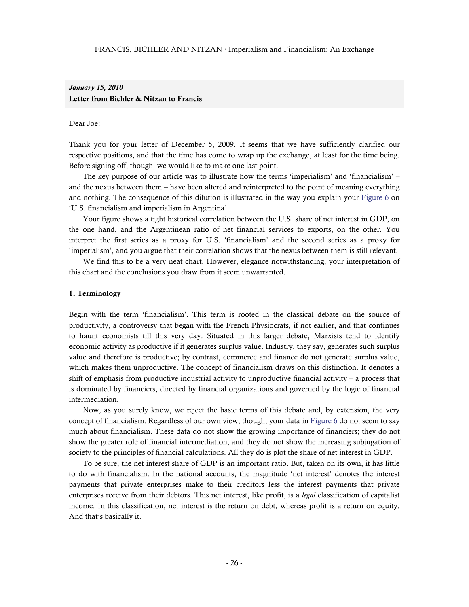# *January 15, 2010*  Letter from Bichler & Nitzan to Francis

### Dear Joe:

Thank you for your letter of December 5, 2009. It seems that we have sufficiently clarified our respective positions, and that the time has come to wrap up the exchange, at least for the time being. Before signing off, though, we would like to make one last point.

The key purpose of our article was to illustrate how the terms 'imperialism' and 'financialism' – and the nexus between them – have been altered and reinterpreted to the point of meaning everything and nothing. The consequence of this dilution is illustrated in the way you explain your [Figure 6](#page-22-0) on 'U.S. financialism and imperialism in Argentina'.

Your figure shows a tight historical correlation between the U.S. share of net interest in GDP, on the one hand, and the Argentinean ratio of net financial services to exports, on the other. You interpret the first series as a proxy for U.S. 'financialism' and the second series as a proxy for 'imperialism', and you argue that their correlation shows that the nexus between them is still relevant.

We find this to be a very neat chart. However, elegance notwithstanding, your interpretation of this chart and the conclusions you draw from it seem unwarranted.

#### 1. Terminology

Begin with the term 'financialism'. This term is rooted in the classical debate on the source of productivity, a controversy that began with the French Physiocrats, if not earlier, and that continues to haunt economists till this very day. Situated in this larger debate, Marxists tend to identify economic activity as productive if it generates surplus value. Industry, they say, generates such surplus value and therefore is productive; by contrast, commerce and finance do not generate surplus value, which makes them unproductive. The concept of financialism draws on this distinction. It denotes a shift of emphasis from productive industrial activity to unproductive financial activity – a process that is dominated by financiers, directed by financial organizations and governed by the logic of financial intermediation.

Now, as you surely know, we reject the basic terms of this debate and, by extension, the very concept of financialism. Regardless of our own view, though, your data in [Figure 6](#page-22-0) do not seem to say much about financialism. These data do not show the growing importance of financiers; they do not show the greater role of financial intermediation; and they do not show the increasing subjugation of society to the principles of financial calculations. All they do is plot the share of net interest in GDP.

To be sure, the net interest share of GDP is an important ratio. But, taken on its own, it has little to do with financialism. In the national accounts, the magnitude 'net interest' denotes the interest payments that private enterprises make to their creditors less the interest payments that private enterprises receive from their debtors. This net interest, like profit, is a *legal* classification of capitalist income. In this classification, net interest is the return on debt, whereas profit is a return on equity. And that's basically it.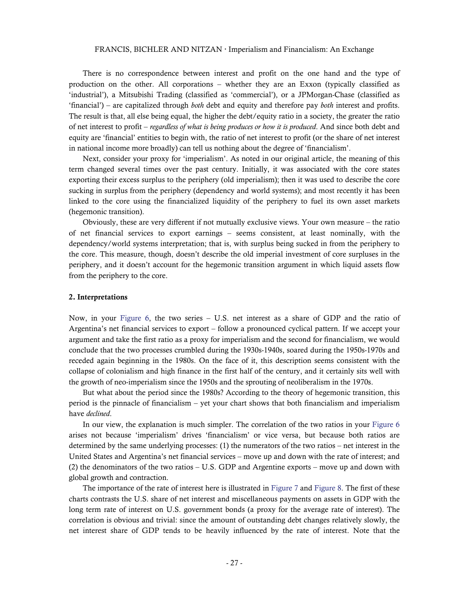There is no correspondence between interest and profit on the one hand and the type of production on the other. All corporations – whether they are an Exxon (typically classified as 'industrial'), a Mitsubishi Trading (classified as 'commercial'), or a JPMorgan-Chase (classified as 'financial') – are capitalized through *both* debt and equity and therefore pay *both* interest and profits. The result is that, all else being equal, the higher the debt/equity ratio in a society, the greater the ratio of net interest to profit – *regardless of what is being produces or how it is produced*. And since both debt and equity are 'financial' entities to begin with, the ratio of net interest to profit (or the share of net interest in national income more broadly) can tell us nothing about the degree of 'financialism'.

Next, consider your proxy for 'imperialism'. As noted in our original article, the meaning of this term changed several times over the past century. Initially, it was associated with the core states exporting their excess surplus to the periphery (old imperialism); then it was used to describe the core sucking in surplus from the periphery (dependency and world systems); and most recently it has been linked to the core using the financialized liquidity of the periphery to fuel its own asset markets (hegemonic transition).

Obviously, these are very different if not mutually exclusive views. Your own measure – the ratio of net financial services to export earnings – seems consistent, at least nominally, with the dependency/world systems interpretation; that is, with surplus being sucked in from the periphery to the core. This measure, though, doesn't describe the old imperial investment of core surpluses in the periphery, and it doesn't account for the hegemonic transition argument in which liquid assets flow from the periphery to the core.

#### 2. Interpretations

Now, in your [Figure 6,](#page-22-0) the two series – U.S. net interest as a share of GDP and the ratio of Argentina's net financial services to export – follow a pronounced cyclical pattern. If we accept your argument and take the first ratio as a proxy for imperialism and the second for financialism, we would conclude that the two processes crumbled during the 1930s-1940s, soared during the 1950s-1970s and receded again beginning in the 1980s. On the face of it, this description seems consistent with the collapse of colonialism and high finance in the first half of the century, and it certainly sits well with the growth of neo-imperialism since the 1950s and the sprouting of neoliberalism in the 1970s.

But what about the period since the 1980s? According to the theory of hegemonic transition, this period is the pinnacle of financialism – yet your chart shows that both financialism and imperialism have *declined*.

In our view, the explanation is much simpler. The correlation of the two ratios in your [Figure 6](#page-22-0) arises not because 'imperialism' drives 'financialism' or vice versa, but because both ratios are determined by the same underlying processes: (1) the numerators of the two ratios – net interest in the United States and Argentina's net financial services – move up and down with the rate of interest; and (2) the denominators of the two ratios – U.S. GDP and Argentine exports – move up and down with global growth and contraction.

The importance of the rate of interest here is illustrated in [Figure 7](#page-27-0) and [Figure 8.](#page-28-0) The first of these charts contrasts the U.S. share of net interest and miscellaneous payments on assets in GDP with the long term rate of interest on U.S. government bonds (a proxy for the average rate of interest). The correlation is obvious and trivial: since the amount of outstanding debt changes relatively slowly, the net interest share of GDP tends to be heavily influenced by the rate of interest. Note that the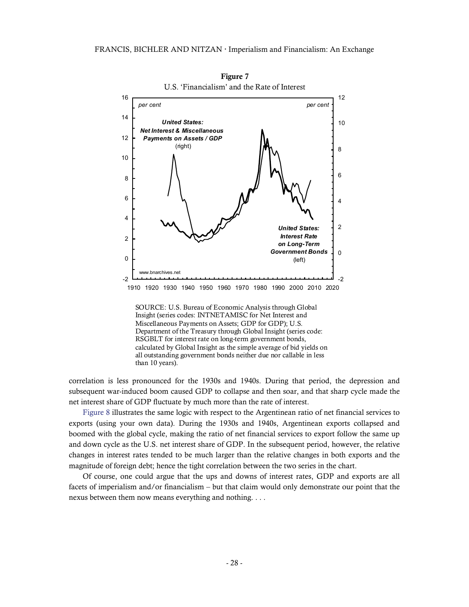

Figure 7

SOURCE: U.S. Bureau of Economic Analysis through Global Insight (series codes: INTNETAMISC for Net Interest and Miscellaneous Payments on Assets; GDP for GDP); U.S. Department of the Treasury through Global Insight (series code: RSGBLT for interest rate on long-term government bonds, calculated by Global Insight as the simple average of bid yields on all outstanding government bonds neither due nor callable in less than 10 years).

correlation is less pronounced for the 1930s and 1940s. During that period, the depression and subsequent war-induced boom caused GDP to collapse and then soar, and that sharp cycle made the net interest share of GDP fluctuate by much more than the rate of interest.

<span id="page-27-0"></span>[Figure 8](#page-28-0) illustrates the same logic with respect to the Argentinean ratio of net financial services to exports (using your own data). During the 1930s and 1940s, Argentinean exports collapsed and boomed with the global cycle, making the ratio of net financial services to export follow the same up and down cycle as the U.S. net interest share of GDP. In the subsequent period, however, the relative changes in interest rates tended to be much larger than the relative changes in both exports and the magnitude of foreign debt; hence the tight correlation between the two series in the chart.

Of course, one could argue that the ups and downs of interest rates, GDP and exports are all facets of imperialism and/or financialism – but that claim would only demonstrate our point that the nexus between them now means everything and nothing. . . .